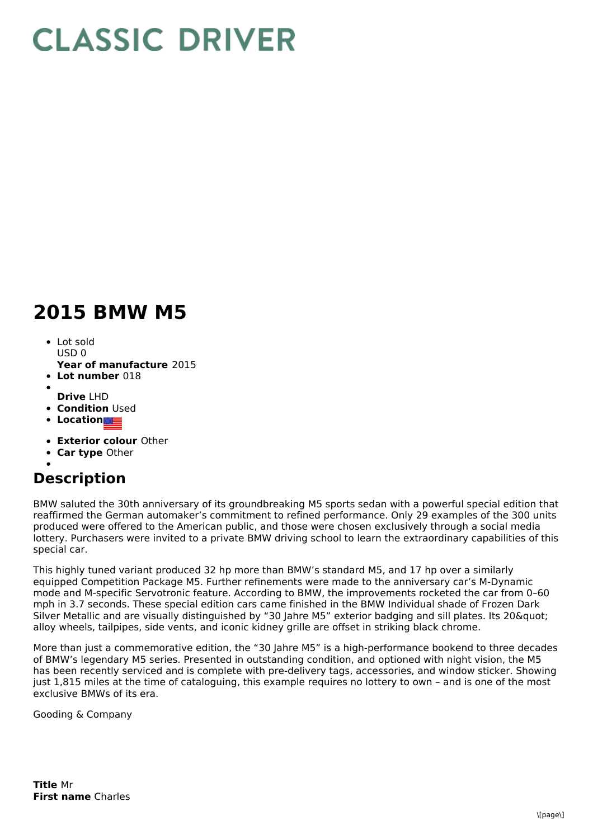## **CLASSIC DRIVER**

## **2015 BMW M5**

- Lot sold  $USDO$
- **Year of manufacture** 2015
- **Lot number** 018
- **Drive** LHD
- **Condition Used**
- **•** Location
- **Exterior colour** Other
- **Car type** Other

## **Description**

BMW saluted the 30th anniversary of its groundbreaking M5 sports sedan with a powerful special edition that reaffirmed the German automaker's commitment to refined performance. Only 29 examples of the 300 units produced were offered to the American public, and those were chosen exclusively through a social media lottery. Purchasers were invited to a private BMW driving school to learn the extraordinary capabilities of this special car.

This highly tuned variant produced 32 hp more than BMW's standard M5, and 17 hp over a similarly equipped Competition Package M5. Further refinements were made to the anniversary car's M-Dynamic mode and M-specific Servotronic feature. According to BMW, the improvements rocketed the car from 0–60 mph in 3.7 seconds. These special edition cars came finished in the BMW Individual shade of Frozen Dark Silver Metallic and are visually distinguished by "30 Jahre M5" exterior badging and sill plates. Its 20" alloy wheels, tailpipes, side vents, and iconic kidney grille are offset in striking black chrome.

More than just a commemorative edition, the "30 Jahre M5" is a high-performance bookend to three decades of BMW's legendary M5 series. Presented in outstanding condition, and optioned with night vision, the M5 has been recently serviced and is complete with pre-delivery tags, accessories, and window sticker. Showing just 1,815 miles at the time of cataloguing, this example requires no lottery to own – and is one of the most exclusive BMWs of its era.

Gooding & Company